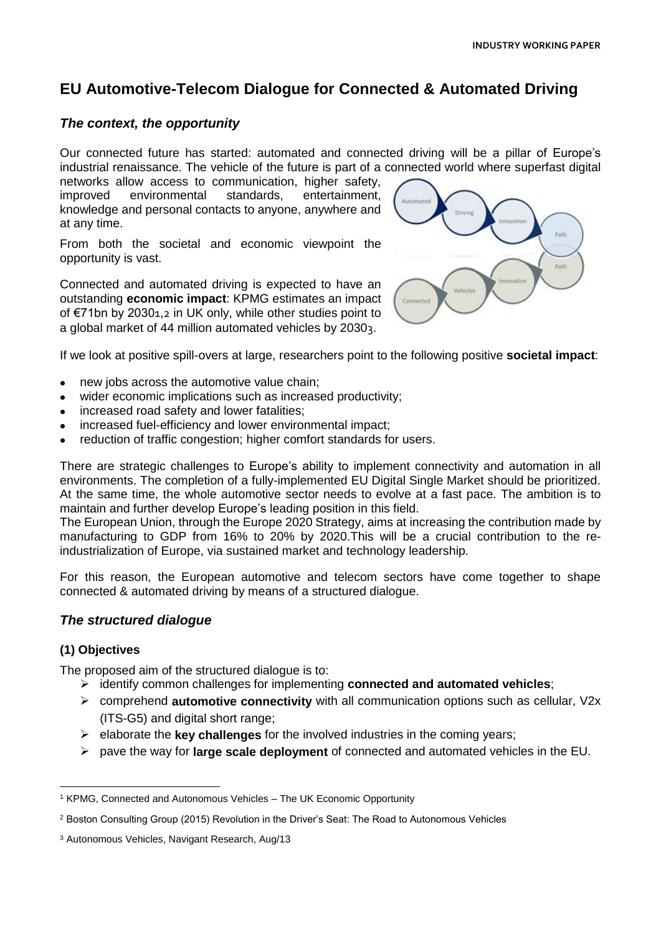# **EU Automotive-Telecom Dialogue for Connected & Automated Driving**

## *The context, the opportunity*

Our connected future has started: automated and connected driving will be a pillar of Europe's industrial renaissance. The vehicle of the future is part of a connected world where superfast digital

networks allow access to communication, higher safety, improved environmental standards, entertainment, knowledge and personal contacts to anyone, anywhere and at any time.

From both the societal and economic viewpoint the opportunity is vast.

Connected and automated driving is expected to have an outstanding **economic impact**: KPMG estimates an impact of €71bn by 20301,2 in UK only, while other studies point to a global market of 44 million automated vehicles by 20303.



If we look at positive spill-overs at large, researchers point to the following positive **societal impact**:

- new jobs across the automotive value chain;
- wider economic implications such as increased productivity;
- increased road safety and lower fatalities;
- increased fuel-efficiency and lower environmental impact;
- reduction of traffic congestion; higher comfort standards for users.

There are strategic challenges to Europe's ability to implement connectivity and automation in all environments. The completion of a fully-implemented EU Digital Single Market should be prioritized. At the same time, the whole automotive sector needs to evolve at a fast pace. The ambition is to maintain and further develop Europe's leading position in this field.

The European Union, through the Europe 2020 Strategy, aims at increasing the contribution made by manufacturing to GDP from 16% to 20% by 2020.This will be a crucial contribution to the reindustrialization of Europe, via sustained market and technology leadership.

For this reason, the European automotive and telecom sectors have come together to shape connected & automated driving by means of a structured dialogue.

## *The structured dialogue*

### **(1) Objectives**

1

The proposed aim of the structured dialogue is to:

- identify common challenges for implementing **connected and automated vehicles**;
- comprehend **automotive connectivity** with all communication options such as cellular, V2x (ITS-G5) and digital short range;
- $\triangleright$  elaborate the **key challenges** for the involved industries in the coming years;
- pave the way for **large scale deployment** of connected and automated vehicles in the EU.

<sup>1</sup> KPMG, Connected and Autonomous Vehicles – The UK Economic Opportunity

<sup>2</sup> Boston Consulting Group (2015) Revolution in the Driver's Seat: The Road to Autonomous Vehicles

<sup>3</sup> Autonomous Vehicles, Navigant Research, Aug/13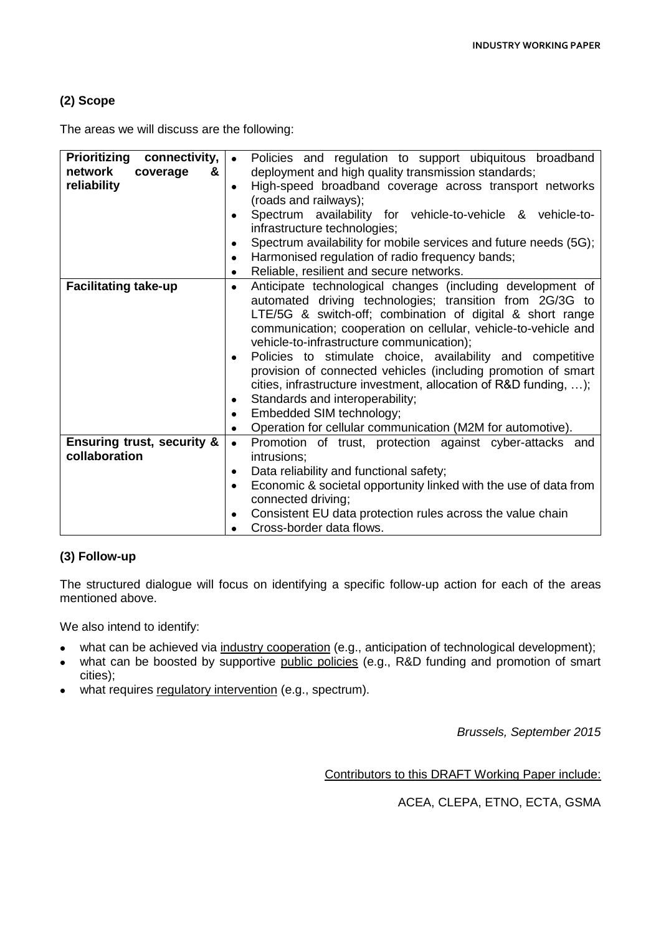## **(2) Scope**

The areas we will discuss are the following:

| Prioritizing<br>connectivity,         | Policies and regulation to support ubiquitous broadband<br>$\bullet$          |
|---------------------------------------|-------------------------------------------------------------------------------|
| network<br>&<br>coverage              | deployment and high quality transmission standards;                           |
| reliability                           | High-speed broadband coverage across transport networks<br>$\bullet$          |
|                                       | (roads and railways);                                                         |
|                                       | Spectrum availability for vehicle-to-vehicle & vehicle-to-<br>$\bullet$       |
|                                       | infrastructure technologies;                                                  |
|                                       | Spectrum availability for mobile services and future needs (5G);<br>$\bullet$ |
|                                       | Harmonised regulation of radio frequency bands;<br>$\bullet$                  |
|                                       | Reliable, resilient and secure networks.<br>$\bullet$                         |
| <b>Facilitating take-up</b>           | Anticipate technological changes (including development of<br>$\bullet$       |
|                                       | automated driving technologies; transition from 2G/3G to                      |
|                                       | LTE/5G & switch-off; combination of digital & short range                     |
|                                       | communication; cooperation on cellular, vehicle-to-vehicle and                |
|                                       | vehicle-to-infrastructure communication);                                     |
|                                       | Policies to stimulate choice, availability and competitive<br>$\bullet$       |
|                                       | provision of connected vehicles (including promotion of smart                 |
|                                       | cities, infrastructure investment, allocation of R&D funding, );              |
|                                       | Standards and interoperability;<br>$\bullet$                                  |
|                                       | Embedded SIM technology;<br>$\bullet$                                         |
|                                       | Operation for cellular communication (M2M for automotive).<br>$\bullet$       |
| <b>Ensuring trust, security &amp;</b> | Promotion of trust, protection against cyber-attacks and<br>$\bullet$         |
| collaboration                         | intrusions;                                                                   |
|                                       | Data reliability and functional safety;<br>$\bullet$                          |
|                                       | Economic & societal opportunity linked with the use of data from<br>$\bullet$ |
|                                       | connected driving;                                                            |
|                                       |                                                                               |
|                                       | Consistent EU data protection rules across the value chain<br>$\bullet$       |
|                                       | Cross-border data flows.                                                      |

### **(3) Follow-up**

The structured dialogue will focus on identifying a specific follow-up action for each of the areas mentioned above.

We also intend to identify:

- what can be achieved via industry cooperation (e.g., anticipation of technological development);
- what can be boosted by supportive public policies (e.g., R&D funding and promotion of smart cities);
- what requires regulatory intervention (e.g., spectrum).

*Brussels, September 2015*

Contributors to this DRAFT Working Paper include:

ACEA, CLEPA, ETNO, ECTA, GSMA